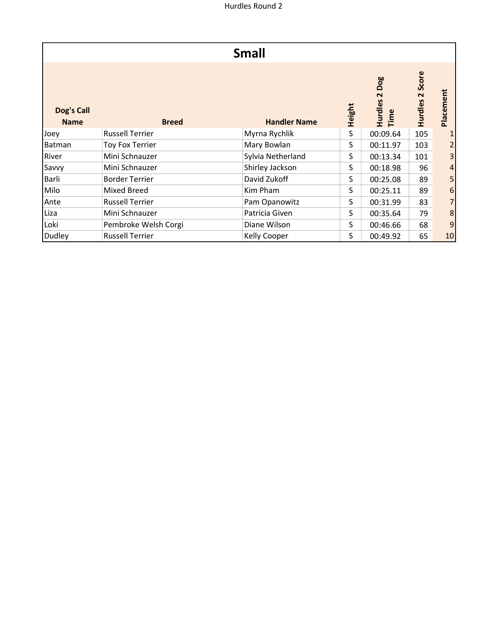|                           |                        | <b>Small</b>        |        |                                                 |                                             |                  |
|---------------------------|------------------------|---------------------|--------|-------------------------------------------------|---------------------------------------------|------------------|
| Dog's Call<br><b>Name</b> | <b>Breed</b>           | <b>Handler Name</b> | Height | Dog<br>$\mathbf{\mathsf{N}}$<br>Hurdles<br>Time | Score<br>$\overline{\mathbf{r}}$<br>Hurdles | Placement        |
| Joey                      | <b>Russell Terrier</b> | Myrna Rychlik       | S      | 00:09.64                                        | 105                                         |                  |
| Batman                    | <b>Toy Fox Terrier</b> | Mary Bowlan         | S      | 00:11.97                                        | 103                                         | $\overline{2}$   |
| River                     | Mini Schnauzer         | Sylvia Netherland   | S      | 00:13.34                                        | 101                                         | 3 <sup>1</sup>   |
| Savvy                     | Mini Schnauzer         | Shirley Jackson     | S      | 00:18.98                                        | 96                                          | $\vert 4 \vert$  |
| Barli                     | <b>Border Terrier</b>  | David Zukoff        | S      | 00:25.08                                        | 89                                          | 5 <sup>1</sup>   |
| Milo                      | Mixed Breed            | Kim Pham            | S      | 00:25.11                                        | 89                                          | $6 \overline{6}$ |
| Ante                      | <b>Russell Terrier</b> | Pam Opanowitz       | S      | 00:31.99                                        | 83                                          | $\overline{7}$   |
| Liza                      | Mini Schnauzer         | Patricia Given      | S      | 00:35.64                                        | 79                                          | 8                |
| Loki                      | Pembroke Welsh Corgi   | Diane Wilson        | S      | 00:46.66                                        | 68                                          | $\boldsymbol{9}$ |
| Dudley                    | <b>Russell Terrier</b> | Kelly Cooper        | S      | 00:49.92                                        | 65                                          | 10               |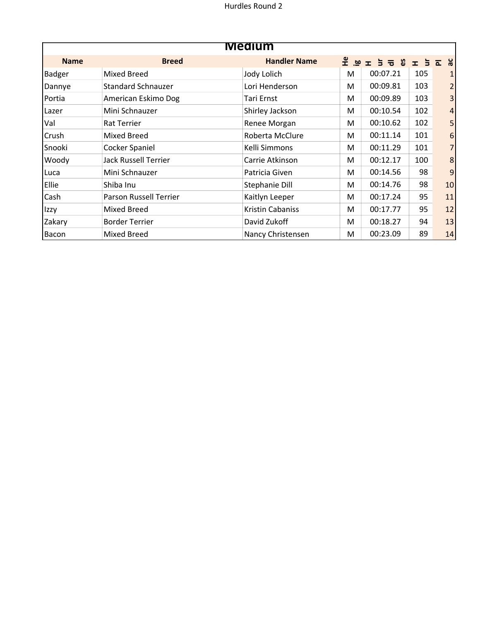| <b>Medium</b> |                             |                     |   |               |             |                |
|---------------|-----------------------------|---------------------|---|---------------|-------------|----------------|
| <b>Name</b>   | <b>Breed</b>                | <b>Handler Name</b> |   | <b>SPIFER</b> | $\pm$ $\pm$ | ăε<br>ᅕ        |
| <b>Badger</b> | <b>Mixed Breed</b>          | Jody Lolich         | M | 00:07.21      | 105         |                |
| Dannye        | <b>Standard Schnauzer</b>   | Lori Henderson      | M | 00:09.81      | 103         |                |
| Portia        | American Eskimo Dog         | Tari Ernst          | M | 00:09.89      | 103         | 3              |
| Lazer         | Mini Schnauzer              | Shirley Jackson     | M | 00:10.54      | 102         | $\overline{4}$ |
| Val           | <b>Rat Terrier</b>          | Renee Morgan        | M | 00:10.62      | 102         |                |
| Crush         | Mixed Breed                 | Roberta McClure     | M | 00:11.14      | 101         | 6              |
| Snooki        | Cocker Spaniel              | Kelli Simmons       | M | 00:11.29      | 101         |                |
| Woody         | <b>Jack Russell Terrier</b> | Carrie Atkinson     | M | 00:12.17      | 100         | 8              |
| Luca          | Mini Schnauzer              | Patricia Given      | M | 00:14.56      | 98          | 9              |
| Ellie         | Shiba Inu                   | Stephanie Dill      | M | 00:14.76      | 98          | 10             |
| Cash          | Parson Russell Terrier      | Kaitlyn Leeper      | M | 00:17.24      | 95          | 11             |
| Izzy          | <b>Mixed Breed</b>          | Kristin Cabaniss    | M | 00:17.77      | 95          | 12             |
| Zakary        | <b>Border Terrier</b>       | David Zukoff        | M | 00:18.27      | 94          | 13             |
| Bacon         | Mixed Breed                 | Nancy Christensen   | M | 00:23.09      | 89          | 14             |